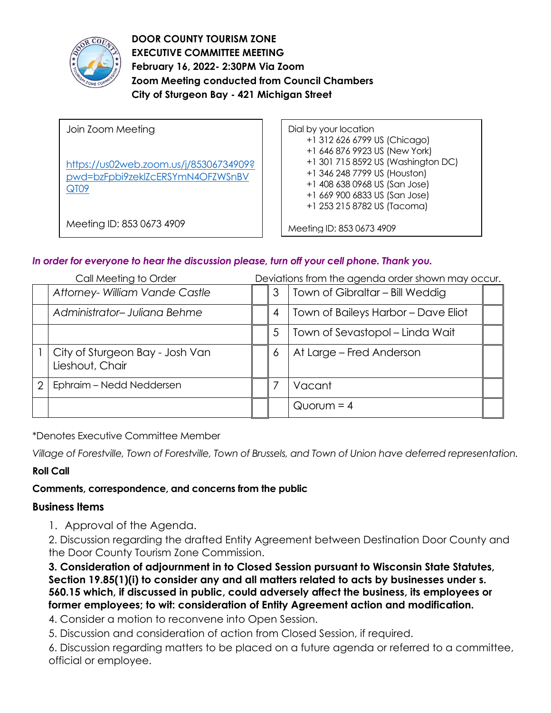

**DOOR COUNTY TOURISM ZONE EXECUTIVE COMMITTEE MEETING February 16, 2022- 2:30PM Via Zoom Zoom Meeting conducted from Council Chambers City of Sturgeon Bay - 421 Michigan Street** 

| Join Zoom Meeting<br>https://us02web.zoom.us/j/85306734909?<br>pwd=bzFpbi9zeklZcERSYmN4OFZWSnBV<br>QT09 | Dial by your location<br>+1 312 626 6799 US (Chicago)<br>+1 646 876 9923 US (New York)<br>+1 301 715 8592 US (Washington DC)<br>+1 346 248 7799 US (Houston)<br>+1 408 638 0968 US (San Jose)<br>+1 669 900 6833 US (San Jose)<br>+1 253 215 8782 US (Tacoma) |
|---------------------------------------------------------------------------------------------------------|---------------------------------------------------------------------------------------------------------------------------------------------------------------------------------------------------------------------------------------------------------------|
| Meeting ID: 853 0673 4909                                                                               | Meeting ID: 853 0673 4909                                                                                                                                                                                                                                     |

# *In order for everyone to hear the discussion please, turn off your cell phone. Thank you.*

|   | Deviations from the agenda order shown may occur.<br>Call Meeting to Order |  |   |                                     |  |
|---|----------------------------------------------------------------------------|--|---|-------------------------------------|--|
|   | Attorney- William Vande Castle                                             |  | 3 | Town of Gibraltar - Bill Weddig     |  |
|   | Administrator-Juliana Behme                                                |  | 4 | Town of Baileys Harbor - Dave Eliot |  |
|   |                                                                            |  | 5 | Town of Sevastopol - Linda Wait     |  |
|   | City of Sturgeon Bay - Josh Van<br>Lieshout, Chair                         |  | 6 | At Large - Fred Anderson            |  |
| 2 | Ephraim - Nedd Neddersen                                                   |  |   | Vacant                              |  |
|   |                                                                            |  |   | $Quorum = 4$                        |  |

\*Denotes Executive Committee Member

*Village of Forestville, Town of Forestville, Town of Brussels, and Town of Union have deferred representation.*

# **Roll Call**

# **Comments, correspondence, and concerns from the public**

## **Business Items**

1. Approval of the Agenda.

2. Discussion regarding the drafted Entity Agreement between Destination Door County and the Door County Tourism Zone Commission.

**3. Consideration of adjournment in to Closed Session pursuant to Wisconsin State Statutes, Section 19.85(1)(i) to consider any and all matters related to acts by businesses under s. 560.15 which, if discussed in public, could adversely affect the business, its employees or former employees; to wit: consideration of Entity Agreement action and modification.** 

4. Consider a motion to reconvene into Open Session.

5. Discussion and consideration of action from Closed Session, if required.

6. Discussion regarding matters to be placed on a future agenda or referred to a committee, official or employee.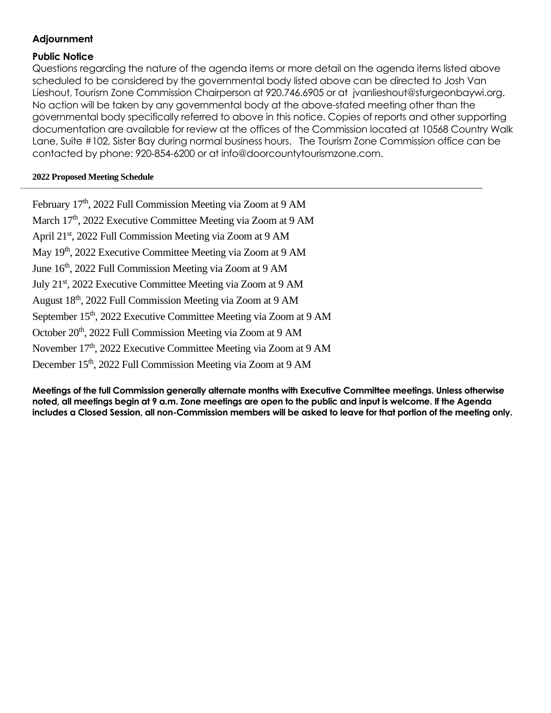## **Adjournment**

### **Public Notice**

Questions regarding the nature of the agenda items or more detail on the agenda items listed above scheduled to be considered by the governmental body listed above can be directed to Josh Van Lieshout, Tourism Zone Commission Chairperson at 920.746.6905 or at jvanlieshout@sturgeonbaywi.org. No action will be taken by any governmental body at the above-stated meeting other than the governmental body specifically referred to above in this notice. Copies of reports and other supporting documentation are available for review at the offices of the Commission located at 10568 Country Walk Lane, Suite #102, Sister Bay during normal business hours. The Tourism Zone Commission office can be contacted by phone: 920-854-6200 or at info@doorcountytourismzone.com.

### **2022 Proposed Meeting Schedule**

February 17<sup>th</sup>, 2022 Full Commission Meeting via Zoom at 9 AM March 17<sup>th</sup>, 2022 Executive Committee Meeting via Zoom at 9 AM April 21<sup>st</sup>, 2022 Full Commission Meeting via Zoom at 9 AM May 19<sup>th</sup>, 2022 Executive Committee Meeting via Zoom at 9 AM June 16<sup>th</sup>, 2022 Full Commission Meeting via Zoom at 9 AM July 21<sup>st</sup>, 2022 Executive Committee Meeting via Zoom at 9 AM August 18<sup>th</sup>, 2022 Full Commission Meeting via Zoom at 9 AM September 15<sup>th</sup>, 2022 Executive Committee Meeting via Zoom at 9 AM October 20<sup>th</sup>, 2022 Full Commission Meeting via Zoom at 9 AM November 17<sup>th</sup>, 2022 Executive Committee Meeting via Zoom at 9 AM December 15<sup>th</sup>, 2022 Full Commission Meeting via Zoom at 9 AM

**Meetings of the full Commission generally alternate months with Executive Committee meetings. Unless otherwise noted, all meetings begin at 9 a.m. Zone meetings are open to the public and input is welcome. If the Agenda includes a Closed Session, all non-Commission members will be asked to leave for that portion of the meeting only.**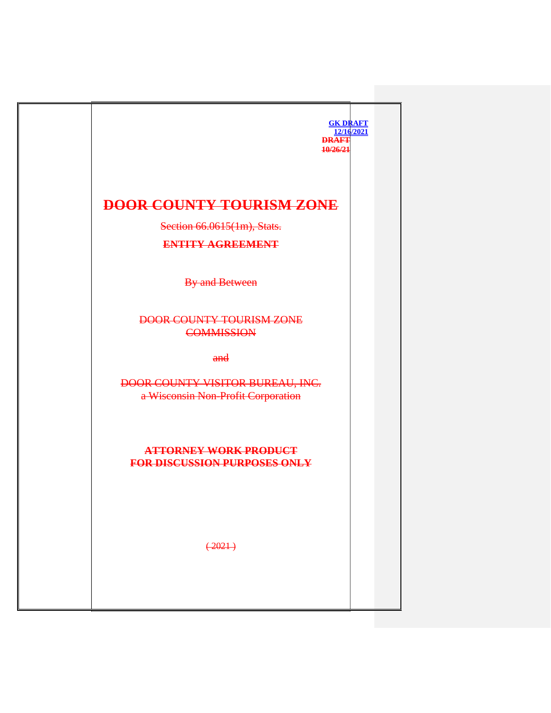| <b>GK DRAFT</b><br>12/16/2021<br><b>DRAFT</b><br>10/26/21                       |
|---------------------------------------------------------------------------------|
| <b>DOOR COUNTY TOURISM ZONE</b><br>Section 66.0615(1m), Stats.                  |
| <b>ENTITY AGREEMENT</b><br>By and Between                                       |
| <b>DOOR COUNTY TOURISM ZONE</b><br><b>COMMISSION</b>                            |
| $and$<br>DOOR COUNTY VISITOR BUREAU, INC.<br>a Wisconsin Non-Profit Corporation |
| <b>ATTORNEY WORK PRODUCT</b><br><b>FOR DISCUSSION PURPOSES ONLY</b>             |
| $(+2021)$                                                                       |
|                                                                                 |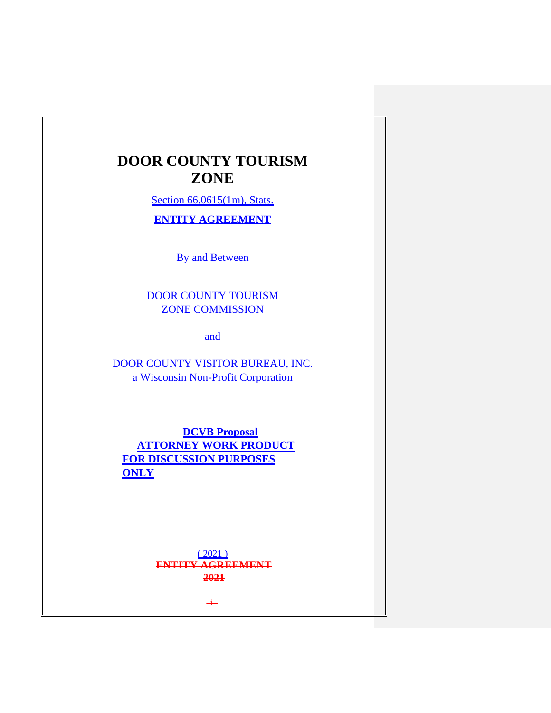# **DOOR COUNTY TOURISM ZONE**

Section 66.0615(1m), Stats.

**ENTITY AGREEMENT**

By and Between

DOOR COUNTY TOURISM ZONE COMMISSION

and

DOOR COUNTY VISITOR BUREAU, INC. a Wisconsin Non-Profit Corporation

**DCVB Proposal ATTORNEY WORK PRODUCT FOR DISCUSSION PURPOSES ONLY**

> $(2021)$ **ENTITY AGREEMENT 2021**

> > $\div$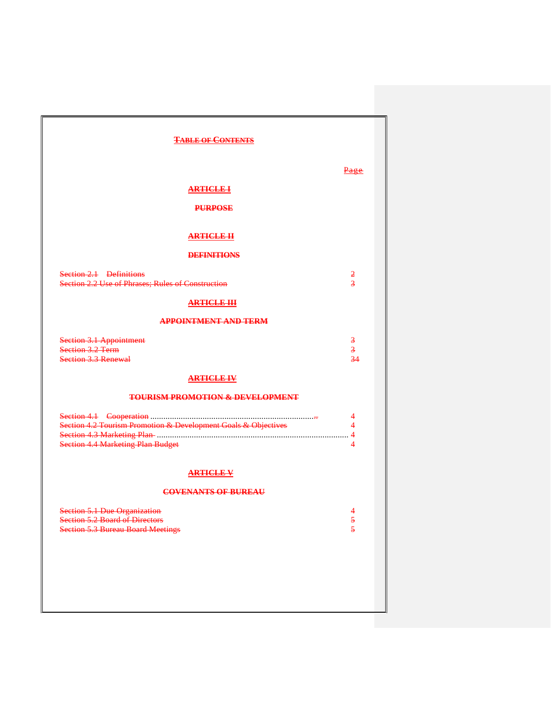| <b>TABLE OF CONTENTS</b>                                                                                       |                                          |  |
|----------------------------------------------------------------------------------------------------------------|------------------------------------------|--|
|                                                                                                                | <u>Page</u>                              |  |
| <b>ARTICLE I</b>                                                                                               |                                          |  |
| <b>PURPOSE</b>                                                                                                 |                                          |  |
|                                                                                                                |                                          |  |
| <b>ARTICLE II</b>                                                                                              |                                          |  |
| <b>DEFINITIONS</b>                                                                                             |                                          |  |
| Section 2.1 Definitions<br>Section 2.2 Use of Phrases; Rules of Construction                                   | $\overline{z}$<br>$\overline{3}$         |  |
| <b>ARTICLE-HI</b>                                                                                              |                                          |  |
| <b>APPOINTMENT AND TERM</b>                                                                                    |                                          |  |
| <b>Section 3.1 Appointment</b><br>Section 3.2 Term<br>Section 3.3 Renewal                                      | $\overline{\mathbf{3}}$<br>$\frac{3}{3}$ |  |
| <b>ARTICLE IV</b>                                                                                              |                                          |  |
| <b>TOURISM PROMOTION &amp; DEVELOPMENT</b>                                                                     |                                          |  |
| Section 4.2 Tourism Promotion & Development Goals & Objectives<br><b>Section 4.4 Marketing Plan Budget</b>     | 4<br>4<br>$\overline{4}$<br>4            |  |
| <b>ARTICLE V</b>                                                                                               |                                          |  |
| <b>COVENANTS OF BUREAU</b>                                                                                     |                                          |  |
| Section 5.1 Due Organization<br>5.2 Board of Directors<br>Section-<br><b>Section 5.3 Bureau Board Meetings</b> | 4<br>5<br>$\overline{\mathbf{5}}$        |  |
|                                                                                                                |                                          |  |
|                                                                                                                |                                          |  |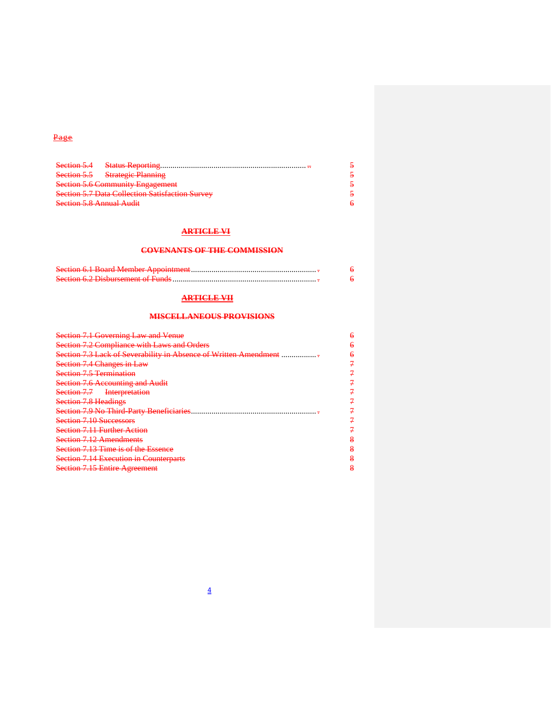### Page

| Section 5.4                                            |  |
|--------------------------------------------------------|--|
| Section 5.5 Strategic Planning                         |  |
| <b>Section 5.6 Community Engagement</b>                |  |
| <b>Section 5.7 Data Collection Satisfaction Survey</b> |  |
| <b>Section 5.8 Annual Audit</b>                        |  |

### **ARTICLE VI**

#### **COVENANTS OF THE COMMISSION**

| Saction 6.1 Roard Mamber Annointmant                                                                                                                                                                                                                                                                                                                                                               |  |
|----------------------------------------------------------------------------------------------------------------------------------------------------------------------------------------------------------------------------------------------------------------------------------------------------------------------------------------------------------------------------------------------------|--|
| Section 6.2 Dichursement of Funds<br>$\sigma$ , $\sigma$ , $\sigma$ , $\sigma$ , $\sigma$ , $\sigma$ , $\sigma$ , $\sigma$ , $\sigma$ , $\sigma$ , $\sigma$ , $\sigma$ , $\sigma$ , $\sigma$ , $\sigma$ , $\sigma$ , $\sigma$ , $\sigma$ , $\sigma$ , $\sigma$ , $\sigma$ , $\sigma$ , $\sigma$ , $\sigma$ , $\sigma$ , $\sigma$ , $\sigma$ , $\sigma$ , $\sigma$ , $\sigma$ , $\sigma$ , $\sigma$ |  |

### **ARTICLE VII**

### **MISCELLANEOUS PROVISIONS**

| Section 7.1<br>Governing Law and Vanua<br>$\sigma$ and $\sigma$ are the $\sigma$ and $\sigma$ and $\sigma$                                                                                                                                                                       |   |
|----------------------------------------------------------------------------------------------------------------------------------------------------------------------------------------------------------------------------------------------------------------------------------|---|
| <u>t en de la participa de la composició de la campa de la participa de la campa</u><br><u>DCCCCOI 7.</u>                                                                                                                                                                        |   |
| ack of Covershility in<br><del>olabha m ab</del><br><b>PARTICULAR PROPERTY OF BU</b>                                                                                                                                                                                             |   |
| hangas in Law<br>$\frac{1}{10}$ countries in the w                                                                                                                                                                                                                               |   |
| Caction 7.5 Tarmination<br><b>PARTIERS IN THE RESIDENCE OF A STATISTIC CONTRACT</b>                                                                                                                                                                                              |   |
| $76 \text{ A}$ compting and $\ell$<br><u> Jechon 7.0 Accounting and Augus</u>                                                                                                                                                                                                    |   |
| Section 7.7<br>Interpretation<br><del>sceucht 7.7</del><br><b>THE CONSTRUCTION OF THE CONSTRUCTION</b>                                                                                                                                                                           |   |
| $\lambda$ action $7.8$ Haadings<br><b>DUURIUIT 7.0 TRURISING</b>                                                                                                                                                                                                                 |   |
| Section 7.0 No Third Dorty Repetitionies<br><u>www.communications.com and the communications of the communication of the communication of the communication of the communication of the communication of the communication of the communication of the communication of the </u> |   |
| $\Omega$ Section $7.10$ Successors<br><u> SCCHUII 7.10 DUCCCOOU O</u>                                                                                                                                                                                                            |   |
| Caction 7.11 Eurther Action                                                                                                                                                                                                                                                      |   |
| Section 7.12 Amondmonts<br><del>50011011 7.12 / MICHUIN JIN</del>                                                                                                                                                                                                                | o |
| Section 7.13 Time is of the Essence                                                                                                                                                                                                                                              | o |
| <b>Section 7.14 Execution in Counterparts</b>                                                                                                                                                                                                                                    | o |
| Coction 7.15 Entire Agreement<br>Devilon <i>The Emily Reportivin</i>                                                                                                                                                                                                             | o |
|                                                                                                                                                                                                                                                                                  |   |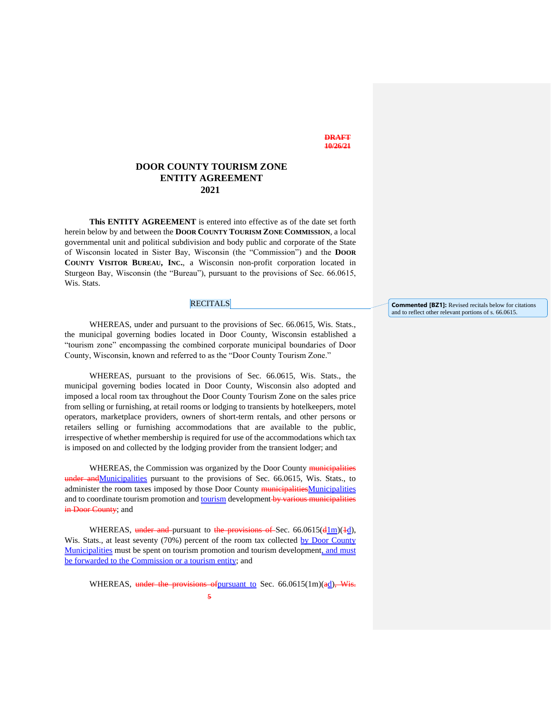#### **DRAFT 10/26/21**

#### **DOOR COUNTY TOURISM ZONE ENTITY AGREEMENT 2021**

**This ENTITY AGREEMENT** is entered into effective as of the date set forth herein below by and between the **DOOR COUNTY TOURISM ZONE COMMISSION**, a local governmental unit and political subdivision and body public and corporate of the State of Wisconsin located in Sister Bay, Wisconsin (the "Commission") and the **DOOR COUNTY VISITOR BUREAU, INC.**, a Wisconsin non-profit corporation located in Sturgeon Bay, Wisconsin (the "Bureau"), pursuant to the provisions of Sec. 66.0615, Wis. Stats.

#### RECITALS

WHEREAS, under and pursuant to the provisions of Sec. 66.0615, Wis. Stats., the municipal governing bodies located in Door County, Wisconsin established a "tourism zone" encompassing the combined corporate municipal boundaries of Door County, Wisconsin, known and referred to as the "Door County Tourism Zone."

WHEREAS, pursuant to the provisions of Sec. 66.0615, Wis. Stats., the municipal governing bodies located in Door County, Wisconsin also adopted and imposed a local room tax throughout the Door County Tourism Zone on the sales price from selling or furnishing, at retail rooms or lodging to transients by hotelkeepers, motel operators, marketplace providers, owners of short-term rentals, and other persons or retailers selling or furnishing accommodations that are available to the public, irrespective of whether membership is required for use of the accommodations which tax is imposed on and collected by the lodging provider from the transient lodger; and

WHEREAS, the Commission was organized by the Door County municipalities under and Municipalities pursuant to the provisions of Sec. 66.0615, Wis. Stats., to administer the room taxes imposed by those Door County municipalitiesMunicipalities and to coordinate tourism promotion and tourism development by various municipalities in Door County; and

WHEREAS, under and pursuant to the provisions of Sec. 66.0615( $\frac{d \ln(1/\ln(1/\ln))}{d}$ ), Wis. Stats., at least seventy (70%) percent of the room tax collected by Door County Municipalities must be spent on tourism promotion and tourism development, and must be forwarded to the Commission or a tourism entity; and

WHEREAS, under the provisions ofpursuant to Sec. 66.0615(1m)(ad), Wis.

**Commented [BZ1]:** Revised recitals below for citations and to reflect other relevant portions of s. 66.0615.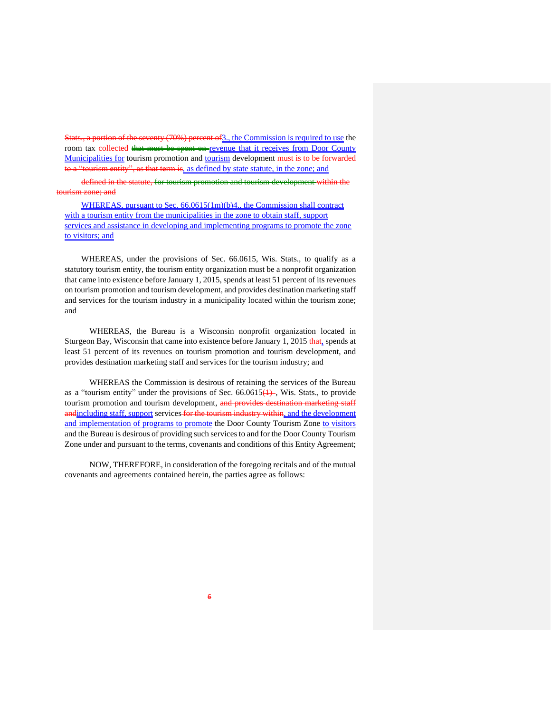Stats., a portion of the seventy (70%) percent of3., the Commission is required to use the room tax collected that must be spent on revenue that it receives from Door County Municipalities for tourism promotion and tourism development must is to be forwarded to a "tourism entity", as that term is, as defined by state statute, in the zone; and

defined in the statute, for tourism promotion and tourism development within the tourism zone; and

WHEREAS, pursuant to Sec. 66.0615(1m)(b)4., the Commission shall contract with a tourism entity from the municipalities in the zone to obtain staff, support services and assistance in developing and implementing programs to promote the zone to visitors; and

WHEREAS, under the provisions of Sec. 66.0615, Wis. Stats., to qualify as a statutory tourism entity, the tourism entity organization must be a nonprofit organization that came into existence before January 1, 2015, spends at least 51 percent of its revenues on tourism promotion and tourism development, and provides destination marketing staff and services for the tourism industry in a municipality located within the tourism zone; and

WHEREAS, the Bureau is a Wisconsin nonprofit organization located in Sturgeon Bay, Wisconsin that came into existence before January 1, 2015 that, spends at least 51 percent of its revenues on tourism promotion and tourism development, and provides destination marketing staff and services for the tourism industry; and

WHEREAS the Commission is desirous of retaining the services of the Bureau as a "tourism entity" under the provisions of Sec.  $66.0615(1)$ , Wis. Stats., to provide tourism promotion and tourism development, and provides destination marketing staff andincluding staff, support services for the tourism industry within, and the development and implementation of programs to promote the Door County Tourism Zone to visitors and the Bureau is desirous of providing such services to and for the Door County Tourism Zone under and pursuant to the terms, covenants and conditions of this Entity Agreement;

NOW, THEREFORE, in consideration of the foregoing recitals and of the mutual covenants and agreements contained herein, the parties agree as follows: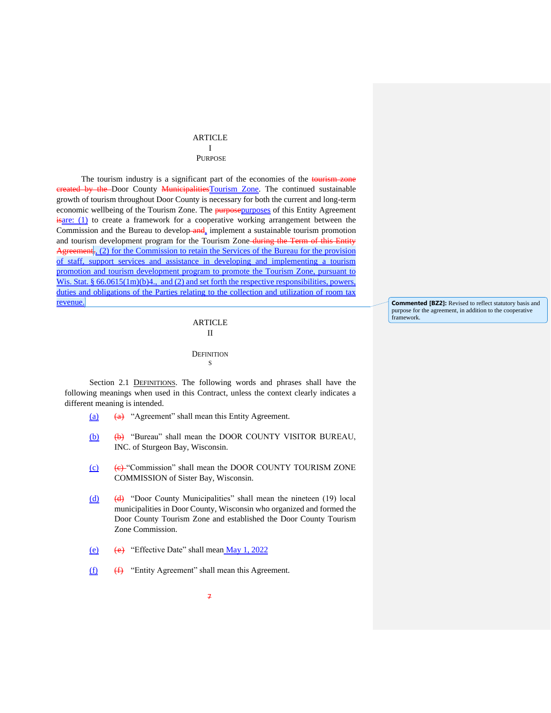#### ARTICLE I PURPOSE

The tourism industry is a significant part of the economies of the tourism zone ereated by the Door County Municipalities Tourism Zone. The continued sustainable growth of tourism throughout Door County is necessary for both the current and long-term economic wellbeing of the Tourism Zone. The **purposepurposes** of this Entity Agreement  $\frac{1}{2}$  is  $\frac{1}{2}$  to create a framework for a cooperative working arrangement between the Commission and the Bureau to develop and, implement a sustainable tourism promotion and tourism development program for the Tourism Zone-during the Term of this Entity Agreement<sub>.</sub>, (2) for the Commission to retain the Services of the Bureau for the provision of staff, support services and assistance in developing and implementing a tourism promotion and tourism development program to promote the Tourism Zone, pursuant to Wis. Stat. §  $66.0615(1m)(b)4$ , and (2) and set forth the respective responsibilities, powers, duties and obligations of the Parties relating to the collection and utilization of room tax revenue.

### ARTICLE II **DEFINITION** S

Section 2.1 DEFINITIONS. The following words and phrases shall have the following meanings when used in this Contract, unless the context clearly indicates a different meaning is intended.

- (a) (a) "Agreement" shall mean this Entity Agreement.
- (b) (b) "Bureau" shall mean the DOOR COUNTY VISITOR BUREAU, INC. of Sturgeon Bay, Wisconsin.
- $(c)$  (e) "Commission" shall mean the DOOR COUNTY TOURISM ZONE COMMISSION of Sister Bay, Wisconsin.
- $(d)$  (d) "Door County Municipalities" shall mean the nineteen (19) local municipalities in Door County, Wisconsin who organized and formed the Door County Tourism Zone and established the Door County Tourism Zone Commission.
- (e) (e) "Effective Date" shall mean  $\underline{May\ 1, 2022}$
- $(f)$  (f) "Entity Agreement" shall mean this Agreement.

**Commented [BZ2]:** Revised to reflect statutory basis and purpose for the agreement, in addition to the cooperative framework.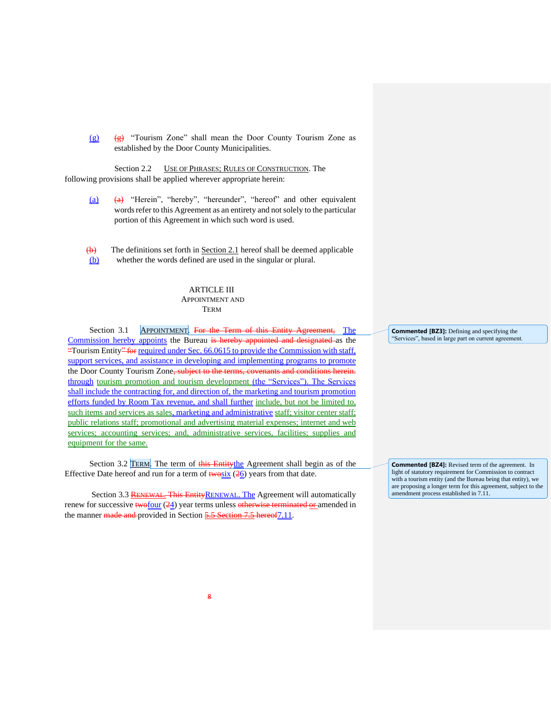(g)  $(g)$  "Tourism Zone" shall mean the Door County Tourism Zone as established by the Door County Municipalities.

Section 2.2 USE OF PHRASES; RULES OF CONSTRUCTION. The following provisions shall be applied wherever appropriate herein:

- $(a)$  (a) "Herein", "hereby", "hereunder", "hereof" and other equivalent words refer to this Agreement as an entirety and not solely to the particular portion of this Agreement in which such word is used.
- $\overline{(b)}$  The definitions set forth in <u>Section 2.1</u> hereof shall be deemed applicable (b) whether the words defined are used in the singular or plural.

#### ARTICLE III APPOINTMENT AND **TERM**

Section 3.1 APPOINTMENT. For the Term of this Entity Agreement, The Commission hereby appoints the Bureau is hereby appointed and designated as the "Tourism Entity" for required under Sec. 66.0615 to provide the Commission with staff, support services, and assistance in developing and implementing programs to promote the Door County Tourism Zone, subject to the terms, covenants and conditions herein. through tourism promotion and tourism development (the "Services"). The Services shall include the contracting for, and direction of, the marketing and tourism promotion efforts funded by Room Tax revenue, and shall further include, but not be limited to, such items and services as sales, marketing and administrative staff; visitor center staff; public relations staff; promotional and advertising material expenses; internet and web services; accounting services; and, administrative services, facilities; supplies and equipment for the same.

Section 3.2 TERM. The term of this Entitythe Agreement shall begin as of the Effective Date hereof and run for a term of  $\frac{1}{26}$  years from that date.

Section 3.3 RENEWAL. This Entity RENEWAL. The Agreement will automatically renew for successive  $\frac{f(w)}{w}$  (24) year terms unless otherwise terminated or amended in the manner made and provided in Section 5.5 Section 7.5 hereof 7.11.

**Commented [BZ3]:** Defining and specifying the "Services", based in large part on current agreement.

**Commented [BZ4]:** Revised term of the agreement. In light of statutory requirement for Commission to contract with a tourism entity (and the Bureau being that entity), we are proposing a longer term for this agreement, subject to the amendment process established in 7.11.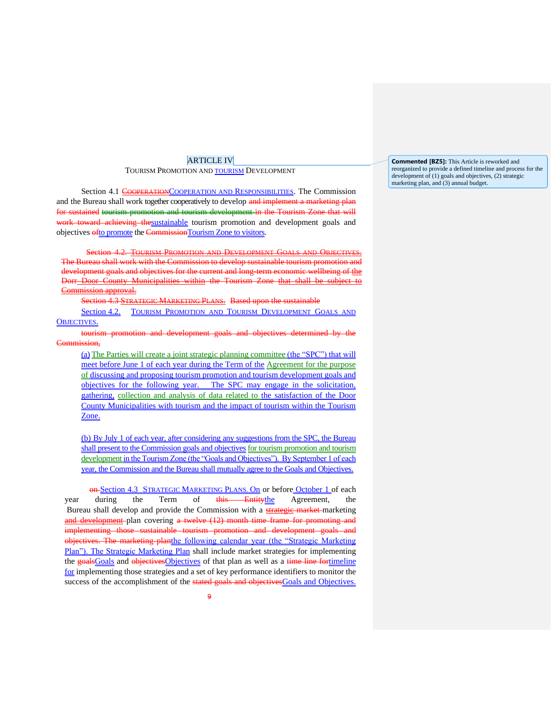#### ARTICLE IV

TOURISM PROMOTION AND TOURISM DEVELOPMENT

Section 4.1 COOPERATIONCOOPERATION AND RESPONSIBILITIES. The Commission and the Bureau shall work together cooperatively to develop and implement a marketing plan for sustained tourism promotion and tourism development in the Tourism Zone that will work toward achieving thesustainable tourism promotion and development goals and objectives ofto promote the CommissionTourism Zone to visitors.

Section 4.2. TOURISM PROMOTION AND DEVELOPMENT GOALS AND OBJECTIVES. The Bureau shall work with the Commission to develop sustainable tourism promotion and development goals and objectives for the current and long-term economic wellbeing of the Dorr Door County Municipalities within the Tourism Zone that shall be subject to Commission approval.

Section 4.3 STRATEGIC MARKETING PLANS. Based upon the sustainable

Section 4.2. TOURISM PROMOTION AND TOURISM DEVELOPMENT GOALS AND OBJECTIVES.

tourism promotion and development goals and objectives determined by the Commission.

(a) The Parties will create a joint strategic planning committee (the "SPC") that will meet before June 1 of each year during the Term of the Agreement for the purpose of discussing and proposing tourism promotion and tourism development goals and objectives for the following year. The SPC may engage in the solicitation, gathering, collection and analysis of data related to the satisfaction of the Door County Municipalities with tourism and the impact of tourism within the Tourism Zone.

(b) By July 1 of each year, after considering any suggestions from the SPC, the Bureau shall present to the Commission goals and objectives for tourism promotion and tourism development in the Tourism Zone (the "Goals and Objectives"). By September 1 of each year, the Commission and the Bureau shall mutually agree to the Goals and Objectives.

**on-Section 4.3 STRATEGIC MARKETING PLANS. On or before October 1 of each** year during the Term of this Entitythe Agreement, the Bureau shall develop and provide the Commission with a **strategic market** marketing and development plan covering a twelve (12) month time frame for promoting and implementing those sustainable tourism promotion and development goals and objectives. The marketing planthe following calendar year (the "Strategic Marketing Plan"). The Strategic Marketing Plan shall include market strategies for implementing the goals Goals and objectives Objectives of that plan as well as a time line for timeline for implementing those strategies and a set of key performance identifiers to monitor the success of the accomplishment of the stated goals and objectives Goals and Objectives.

**Commented [BZ5]:** This Article is reworked and reorganized to provide a defined timeline and process for the development of (1) goals and objectives, (2) strategic marketing plan, and (3) annual budget.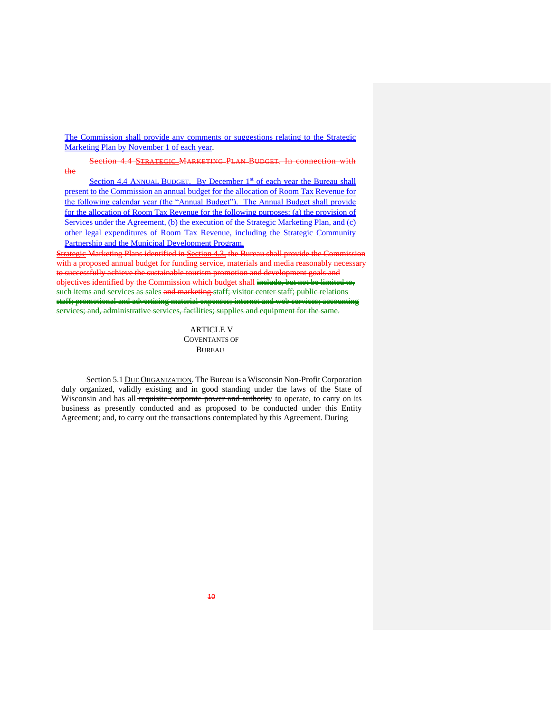The Commission shall provide any comments or suggestions relating to the Strategic Marketing Plan by November 1 of each year.

Section 4.4 STRATEGIC MARKETING PLAN BUDGET. In connection with the

Section 4.4 ANNUAL BUDGET. By December 1<sup>st</sup> of each year the Bureau shall present to the Commission an annual budget for the allocation of Room Tax Revenue for the following calendar year (the "Annual Budget"). The Annual Budget shall provide for the allocation of Room Tax Revenue for the following purposes: (a) the provision of Services under the Agreement, (b) the execution of the Strategic Marketing Plan, and (c) other legal expenditures of Room Tax Revenue, including the Strategic Community Partnership and the Municipal Development Program.

Strategic Marketing Plans identified in Section 4.3, the Bureau shall provide the Commission with a proposed annual budget for funding service, materials and media reasonably necessary to successfully achieve the sustainable tourism promotion and development goals and objectives identified by the Commission which budget shall include, but not be limited to such items and services as sales and marketing staff; visitor center staff; public relations staff; promotional and advertising material expenses; internet and web services; and, administrative services, facilities; supplies and equipment for the same.

> ARTICLE V COVENTANTS OF BUREAU

Section 5.1 DUE ORGANIZATION. The Bureau is a Wisconsin Non-Profit Corporation duly organized, validly existing and in good standing under the laws of the State of Wisconsin and has all requisite corporate power and authority to operate, to carry on its business as presently conducted and as proposed to be conducted under this Entity Agreement; and, to carry out the transactions contemplated by this Agreement. During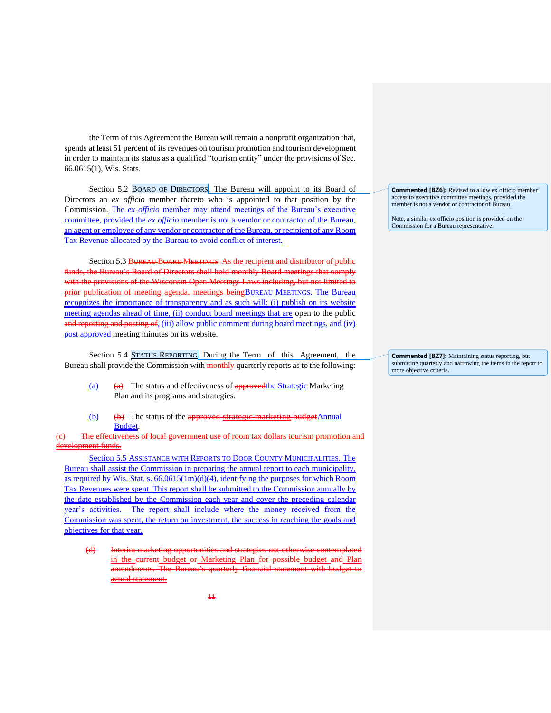the Term of this Agreement the Bureau will remain a nonprofit organization that, spends at least 51 percent of its revenues on tourism promotion and tourism development in order to maintain its status as a qualified "tourism entity" under the provisions of Sec. 66.0615(1), Wis. Stats.

Section 5.2 BOARD OF DIRECTORS. The Bureau will appoint to its Board of Directors an *ex officio* member thereto who is appointed to that position by the Commission. The *ex officio* member may attend meetings of the Bureau's executive committee, provided the *ex officio* member is not a vendor or contractor of the Bureau, an agent or employee of any vendor or contractor of the Bureau, or recipient of any Room Tax Revenue allocated by the Bureau to avoid conflict of interest.

Section 5.3 BUREAU BOARD MEETINGS. As the recipient and distributor of public funds, the Bureau's Board of Directors shall hold monthly Board meetings that comply with the provisions of the Wisconsin Open Meetings Laws including, but not limited to prior publication of meeting agenda, meetings beingBUREAU MEETINGS. The Bureau recognizes the importance of transparency and as such will: (i) publish on its website meeting agendas ahead of time, (ii) conduct board meetings that are open to the public and reporting and posting of, (iii) allow public comment during board meetings, and (iv) post approved meeting minutes on its website.

Section 5.4 STATUS REPORTING. During the Term of this Agreement, the Bureau shall provide the Commission with **monthly** quarterly reports as to the following:

- $\frac{a}{a}$  (a) The status and effectiveness of approved the Strategic Marketing Plan and its programs and strategies.
- $(b)$  (b) The status of the approved strategic marketing budget Annual Budget.

The effectiveness of local government use of room tax dollars tourism promotion and development funds.

Section 5.5 ASSISTANCE WITH REPORTS TO DOOR COUNTY MUNICIPALITIES. The Bureau shall assist the Commission in preparing the annual report to each municipality, as required by Wis. Stat. s.  $66.0615(1m)(d)(4)$ , identifying the purposes for which Room Tax Revenues were spent. This report shall be submitted to the Commission annually by the date established by the Commission each year and cover the preceding calendar year's activities. The report shall include where the money received from the Commission was spent, the return on investment, the success in reaching the goals and objectives for that year.

(d) Interim marketing opportunities and strategies not otherwise contemplated in the current budget or Marketing Plan for possible budget and Plan amendments. The Bureau's quarterly financial statement with budget to actual statement.

**Commented [BZ6]:** Revised to allow ex officio member access to executive committee meetings, provided the member is not a vendor or contractor of Bureau.

Note, a similar ex officio position is provided on the Commission for a Bureau representative.

**Commented [BZ7]:** Maintaining status reporting, but submitting quarterly and narrowing the items in the report to more objective criteria.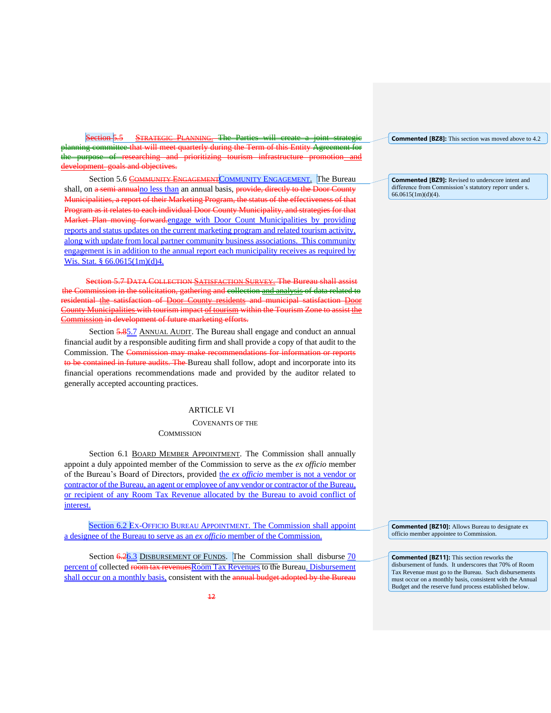Section 5.5 STRATEGIC PLANNING. The Parties will create a joint planning committee that will meet quarterly during the Term of this Entity Agreement for the purpose of researching and prioritizing tourism infrastructure promotion and development goals and objectives.

Section 5.6 COMMUNITY ENGAGEMENT COMMUNITY ENGAGEMENT. The Bureau shall, on a semi annualno less than an annual basis, provide, directly to the Door County Municipalities, a report of their Marketing Program, the status of the effectiveness of that Program as it relates to each individual Door County Municipality, and strategies for that Market Plan moving forward.engage with Door Count Municipalities by providing reports and status updates on the current marketing program and related tourism activity, along with update from local partner community business associations. This community engagement is in addition to the annual report each municipality receives as required by Wis. Stat. § 66.0615(1m)(d)4.

Section 5.7 DATA COLLECTION SATISFACTION SURVEY. The Bureau shall assist Commission in the solicitation, gathering and collection and analysis of data related to residential the satisfaction of Door County residents and municipal satisfaction Door County Municipalities with tourism impact of tourism within the Tourism Zone to assist the Commission in development of future marketing efforts.

Section **5.85.7** ANNUAL AUDIT. The Bureau shall engage and conduct an annual financial audit by a responsible auditing firm and shall provide a copy of that audit to the Commission. The Commission may make recommendations for information or reports to be contained in future audits. The Bureau shall follow, adopt and incorporate into its financial operations recommendations made and provided by the auditor related to generally accepted accounting practices.

#### ARTICLE VI

COVENANTS OF THE

**COMMISSION** 

Section 6.1 BOARD MEMBER APPOINTMENT. The Commission shall annually appoint a duly appointed member of the Commission to serve as the *ex officio* member of the Bureau's Board of Directors, provided the ex officio member is not a vendor or contractor of the Bureau, an agent or employee of any vendor or contractor of the Bureau, or recipient of any Room Tax Revenue allocated by the Bureau to avoid conflict of interest.

Section 6.2 EX-OFFICIO BUREAU APPOINTMENT. The Commission shall appoint a designee of the Bureau to serve as an *ex officio* member of the Commission.

Section  $\frac{6.26.3}{10}$  DISBURSEMENT OF FUNDS. The Commission shall disburse  $\frac{70}{10}$ percent of collected room tax revenuesRoom Tax Revenues to the Bureau. Disbursement shall occur on a monthly basis, consistent with the annual budget adopted by the Bureau **Commented [BZ8]:** This section was moved above to 4.2

**Commented [BZ9]:** Revised to underscore intent and difference from Commission's statutory reporr under s. 66.0615(1m)(d)(4).

**Commented [BZ10]:** Allows Bureau to designate ex officio member appointee to Commission.

**Commented [BZ11]:** This section reworks the disbursement of funds. It underscores that 70% of Room Tax Revenue must go to the Bureau. Such disbursements must occur on a monthly basis, consistent with the Annual Budget and the reserve fund process established below.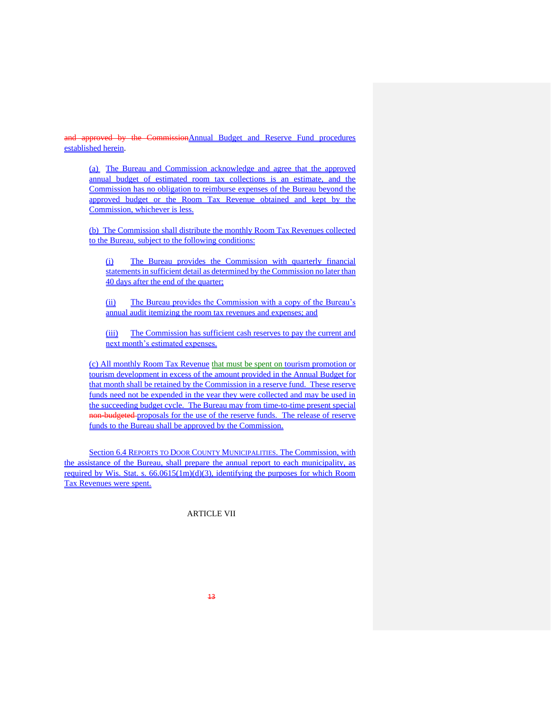and approved by the Commission Annual Budget and Reserve Fund procedures established herein.

(a) The Bureau and Commission acknowledge and agree that the approved annual budget of estimated room tax collections is an estimate, and the Commission has no obligation to reimburse expenses of the Bureau beyond the approved budget or the Room Tax Revenue obtained and kept by the Commission, whichever is less.

(b) The Commission shall distribute the monthly Room Tax Revenues collected to the Bureau, subject to the following conditions:

(i) The Bureau provides the Commission with quarterly financial statements in sufficient detail as determined by the Commission no later than 40 days after the end of the quarter;

(ii) The Bureau provides the Commission with a copy of the Bureau's annual audit itemizing the room tax revenues and expenses; and

(iii) The Commission has sufficient cash reserves to pay the current and next month's estimated expenses.

(c) All monthly Room Tax Revenue that must be spent on tourism promotion or tourism development in excess of the amount provided in the Annual Budget for that month shall be retained by the Commission in a reserve fund. These reserve funds need not be expended in the year they were collected and may be used in the succeeding budget cycle. The Bureau may from time-to-time present special non-budgeted proposals for the use of the reserve funds. The release of reserve funds to the Bureau shall be approved by the Commission.

Section 6.4 REPORTS TO DOOR COUNTY MUNICIPALITIES. The Commission, with the assistance of the Bureau, shall prepare the annual report to each municipality, as required by Wis. Stat. s.  $66.0615(1m)(d)(3)$ , identifying the purposes for which Room Tax Revenues were spent.

ARTICLE VII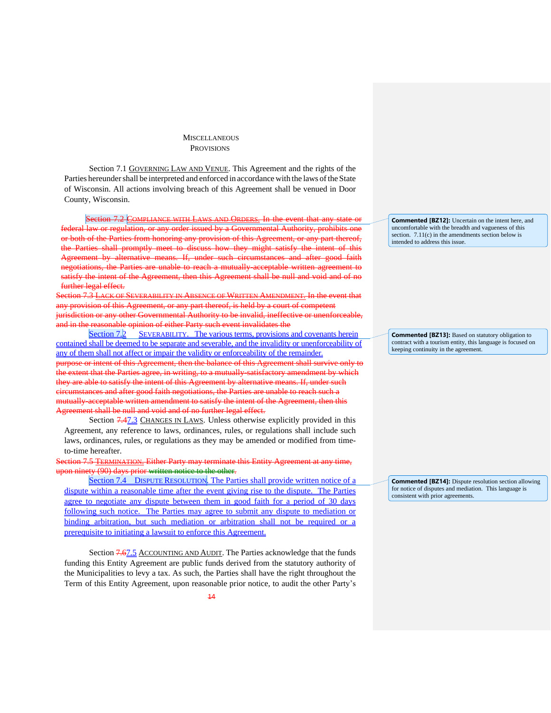#### **MISCELLANEOUS** PROVISIONS

Section 7.1 GOVERNING LAW AND VENUE. This Agreement and the rights of the Parties hereunder shall be interpreted and enforced in accordance with the laws of the State of Wisconsin. All actions involving breach of this Agreement shall be venued in Door County, Wisconsin.

Section 7.2 COMPLIANCE WITH LAWS AND ORDERS. In the event that or regulation, or any order issued by a Governmental Authority, prohibits one from honoring any provision of this Agreement, the Parties shall promptly meet to discuss how they might satisfy the intent of this Agreement by alternative means. If, under such circumstances and after good faith iations, the Parties are unable to reach a mutually-acceptable written agreement to tisfy the intent of the Agreement, then this Agreement shall be null and void and of no further legal effect.<br>ection 7.3 LACK OF

ITY IN ABSENCE OF WRITTEN AMENDMENT. In the event that wision of this Agreement, or any part thereof, is held by a court of competent any other Governmental Authority to be invalid, ineffective or unenforce asonable opinion of either Party such event invalidates the

Section 7.2 SEVERABILITY. The various terms, provisions and covenants herein contained shall be deemed to be separate and severable, and the invalidity or unenforceability of any of them shall not affect or impair the validity or enforceability of the remainder. or intent of this Agreement, then the balance of this Agreement shall surfive or the extent that the Parties agree, in writing, to a mutually-satisfactory amendment by which they are able to satisfy the intent of this Agreement by alternative means. If, under such circumstances and after good faith negotiations, the Parties are unable to reach such a mutually acceptable written amendment to satisfy the intent of the Agreement, then this Agreement shall be null and void and of no further legal effect.

Section  $7.47.3$  CHANGES IN LAWS. Unless otherwise explicitly provided in this Agreement, any reference to laws, ordinances, rules, or regulations shall include such laws, ordinances, rules, or regulations as they may be amended or modified from timeto-time hereafter.

Section 7.5 TERMINATION. Either Party may terminate this Entity Agreement at any time, on ninety (90) days prior written notice to the other.

Section 7.4 DISPUTE RESOLUTION. The Parties shall provide written notice of a dispute within a reasonable time after the event giving rise to the dispute. The Parties agree to negotiate any dispute between them in good faith for a period of 30 days following such notice. The Parties may agree to submit any dispute to mediation or binding arbitration, but such mediation or arbitration shall not be required or a prerequisite to initiating a lawsuit to enforce this Agreement.

Section 7.67.5 ACCOUNTING AND AUDIT. The Parties acknowledge that the funds funding this Entity Agreement are public funds derived from the statutory authority of the Municipalities to levy a tax. As such, the Parties shall have the right throughout the Term of this Entity Agreement, upon reasonable prior notice, to audit the other Party's

**Commented [BZ12]:** Uncertain on the intent here, and uncomfortable with the breadth and vagueness of this section. 7.11(c) in the amendments section below is intended to address this issue.

**Commented [BZ13]:** Based on statutory obligation to contract with a tourism entity, this language is focused on keeping continuity in the agreement.

**Commented [BZ14]:** Dispute resolution section allowing for notice of disputes and mediation. This language is consistent with prior agreements.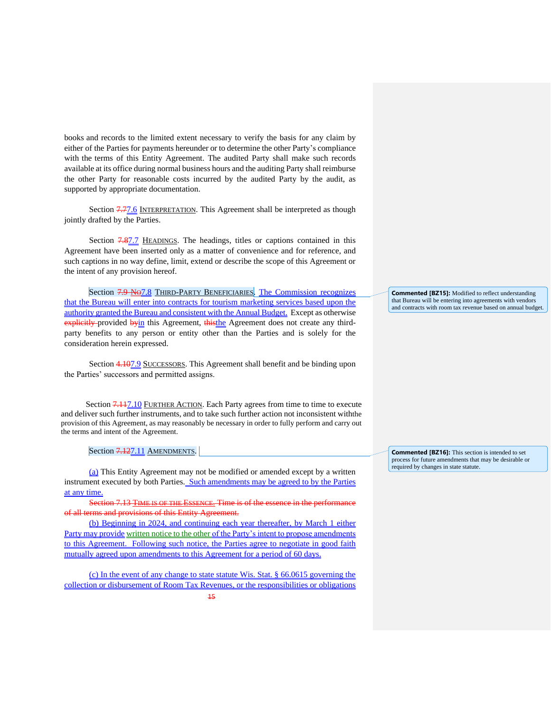books and records to the limited extent necessary to verify the basis for any claim by either of the Parties for payments hereunder or to determine the other Party's compliance with the terms of this Entity Agreement. The audited Party shall make such records available at its office during normal business hours and the auditing Party shall reimburse the other Party for reasonable costs incurred by the audited Party by the audit, as supported by appropriate documentation.

Section **7.77.6** INTERPRETATION. This Agreement shall be interpreted as though jointly drafted by the Parties.

Section 7.87.7 HEADINGS. The headings, titles or captions contained in this Agreement have been inserted only as a matter of convenience and for reference, and such captions in no way define, limit, extend or describe the scope of this Agreement or the intent of any provision hereof.

Section 7.9 No.7.8 THIRD-PARTY BENEFICIARIES. The Commission recognizes that the Bureau will enter into contracts for tourism marketing services based upon the authority granted the Bureau and consistent with the Annual Budget. Except as otherwise explicitly provided byin this Agreement, thisthe Agreement does not create any thirdparty benefits to any person or entity other than the Parties and is solely for the consideration herein expressed.

Section 4.107.9 SUCCESSORS. This Agreement shall benefit and be binding upon the Parties' successors and permitted assigns.

Section 7.117.10 FURTHER ACTION. Each Party agrees from time to time to execute and deliver such further instruments, and to take such further action not inconsistent withthe provision of this Agreement, as may reasonably be necessary in order to fully perform and carry out the terms and intent of the Agreement.

Section 7.127.11 AMENDMENTS.

(a) This Entity Agreement may not be modified or amended except by a written instrument executed by both Parties. Such amendments may be agreed to by the Parties at any time.

Section 7.13 TIME IS OF THE ESSENCE. Time is of the essence in the performance of all terms and provisions of this Entity Agreement.

(b) Beginning in 2024, and continuing each year thereafter, by March 1 either Party may provide written notice to the other of the Party's intent to propose amendments to this Agreement. Following such notice, the Parties agree to negotiate in good faith mutually agreed upon amendments to this Agreement for a period of 60 days.

(c) In the event of any change to state statute Wis. Stat. § 66.0615 governing the collection or disbursement of Room Tax Revenues, or the responsibilities or obligations **Commented [BZ15]:** Modified to reflect understanding that Bureau will be entering into agreements with vendors and contracts with room tax revenue based on annual budget.

**Commented [BZ16]:** This section is intended to set process for future amendments that may be desirable or required by changes in state statute.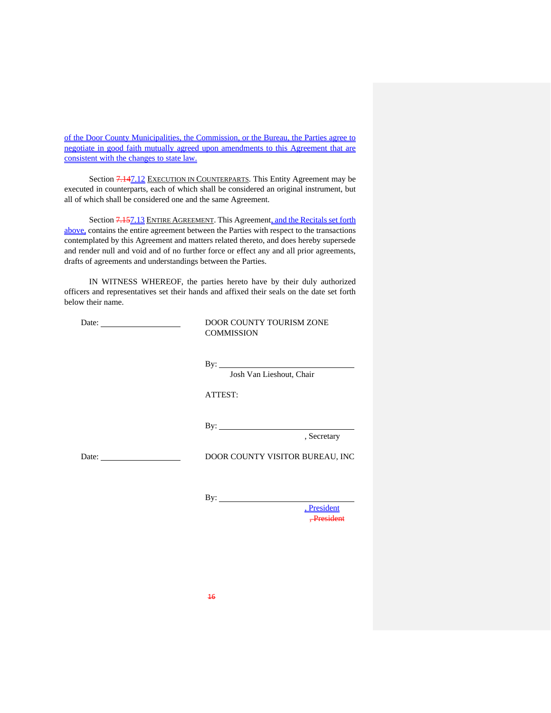of the Door County Municipalities, the Commission, or the Bureau, the Parties agree to negotiate in good faith mutually agreed upon amendments to this Agreement that are consistent with the changes to state law.

Section 7.147.12 EXECUTION IN COUNTERPARTS. This Entity Agreement may be executed in counterparts, each of which shall be considered an original instrument, but all of which shall be considered one and the same Agreement.

Section 7.157.13 ENTIRE AGREEMENT. This Agreement, and the Recitals set forth above, contains the entire agreement between the Parties with respect to the transactions contemplated by this Agreement and matters related thereto, and does hereby supersede and render null and void and of no further force or effect any and all prior agreements, drafts of agreements and understandings between the Parties.

IN WITNESS WHEREOF, the parties hereto have by their duly authorized officers and representatives set their hands and affixed their seals on the date set forth below their name.

| Date: $\qquad \qquad$                                                                                                                                                                                                          | DOOR COUNTY TOURISM ZONE<br><b>COMMISSION</b> |
|--------------------------------------------------------------------------------------------------------------------------------------------------------------------------------------------------------------------------------|-----------------------------------------------|
|                                                                                                                                                                                                                                | Josh Van Lieshout, Chair                      |
|                                                                                                                                                                                                                                | ATTEST:                                       |
|                                                                                                                                                                                                                                | By: $\qquad \qquad$<br>, Secretary            |
| Date: the contract of the contract of the contract of the contract of the contract of the contract of the contract of the contract of the contract of the contract of the contract of the contract of the contract of the cont | DOOR COUNTY VISITOR BUREAU, INC               |
|                                                                                                                                                                                                                                |                                               |

, President , President

 $By:$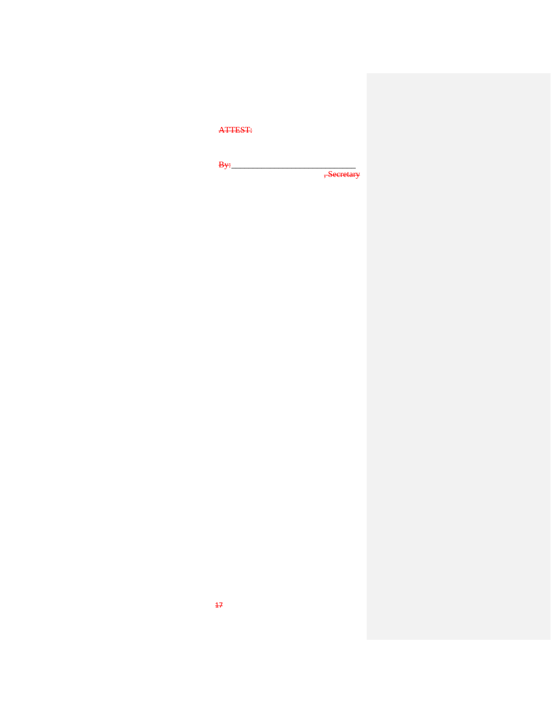| <b>ATTEST:</b> |                        |
|----------------|------------------------|
|                |                        |
| Bv÷            | <del>, Secretary</del> |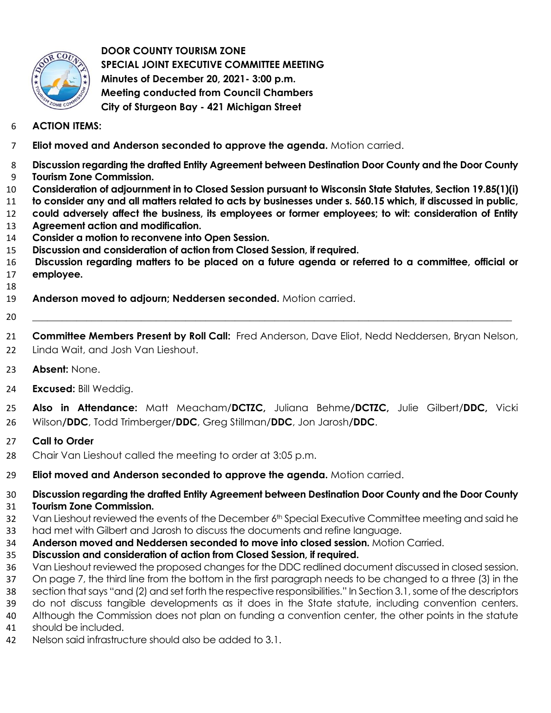

 **DOOR COUNTY TOURISM ZONE SPECIAL JOINT EXECUTIVE COMMITTEE MEETING Minutes of December 20, 2021- 3:00 p.m. Meeting conducted from Council Chambers City of Sturgeon Bay - 421 Michigan Street** 

## **ACTION ITEMS:**

- **Eliot moved and Anderson seconded to approve the agenda.** Motion carried.
- **Discussion regarding the drafted Entity Agreement between Destination Door County and the Door County Tourism Zone Commission.**
- **Consideration of adjournment in to Closed Session pursuant to Wisconsin State Statutes, Section 19.85(1)(i)**
- **to consider any and all matters related to acts by businesses under s. 560.15 which, if discussed in public,**
- **could adversely affect the business, its employees or former employees; to wit: consideration of Entity**
- **Agreement action and modification.**
- **Consider a motion to reconvene into Open Session.**
- **Discussion and consideration of action from Closed Session, if required.**
- **Discussion regarding matters to be placed on a future agenda or referred to a committee, official or employee.**
- 
- **Anderson moved to adjourn; Neddersen seconded.** Motion carried.
- \_\_\_\_\_\_\_\_\_\_\_\_\_\_\_\_\_\_\_\_\_\_\_\_\_\_\_\_\_\_\_\_\_\_\_\_\_\_\_\_\_\_\_\_\_\_\_\_\_\_\_\_\_\_\_\_\_\_\_\_\_\_\_\_\_\_\_\_\_\_\_\_\_\_\_\_\_\_\_\_\_\_\_\_\_\_\_\_\_\_\_\_\_\_\_\_\_

 **Committee Members Present by Roll Call:** Fred Anderson, Dave Eliot, Nedd Neddersen, Bryan Nelson, Linda Wait, and Josh Van Lieshout.

- **Absent:** None.
- **Excused:** Bill Weddig.

 **Also in Attendance:** Matt Meacham/**DCTZC,** Juliana Behme**/DCTZC,** Julie Gilbert/**DDC,** Vicki Wilson**/DDC**, Todd Trimberger/**DDC**, Greg Stillman/**DDC**, Jon Jarosh**/DDC**.

## **Call to Order**

- Chair Van Lieshout called the meeting to order at 3:05 p.m.
- **Eliot moved and Anderson seconded to approve the agenda.** Motion carried.

**Discussion regarding the drafted Entity Agreement between Destination Door County and the Door County** 

## **Tourism Zone Commission.**

32 Van Lieshout reviewed the events of the December 6th Special Executive Committee meeting and said he had met with Gilbert and Jarosh to discuss the documents and refine language.

- **Anderson moved and Neddersen seconded to move into closed session.** Motion Carried.
- **Discussion and consideration of action from Closed Session, if required.**
- Van Lieshout reviewed the proposed changes for the DDC redlined document discussed in closed session.
- On page 7, the third line from the bottom in the first paragraph needs to be changed to a three (3) in the section that says "and (2) and set forth the respective responsibilities." In Section 3.1, some of the descriptors
- do not discuss tangible developments as it does in the State statute, including convention centers.
- Although the Commission does not plan on funding a convention center, the other points in the statute
- should be included.
- Nelson said infrastructure should also be added to 3.1.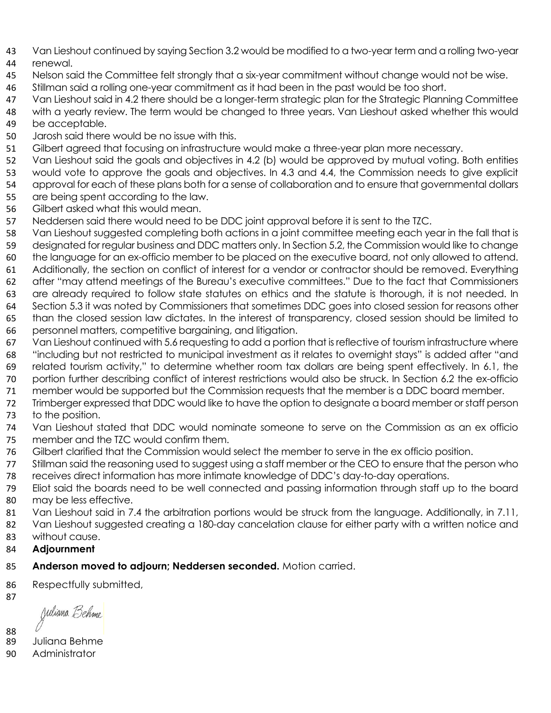- Van Lieshout continued by saying Section 3.2 would be modified to a two-year term and a rolling two-year
- renewal.
- Nelson said the Committee felt strongly that a six-year commitment without change would not be wise.
- Stillman said a rolling one-year commitment as it had been in the past would be too short.
- 47 Van Lieshout said in 4.2 there should be a longer-term strategic plan for the Strategic Planning Committee with a yearly review. The term would be changed to three years. Van Lieshout asked whether this would be acceptable.
- Jarosh said there would be no issue with this.
- Gilbert agreed that focusing on infrastructure would make a three-year plan more necessary.
- 52 Van Lieshout said the goals and objectives in 4.2 (b) would be approved by mutual voting. Both entities
- would vote to approve the goals and objectives. In 4.3 and 4.4, the Commission needs to give explicit
- approval for each of these plans both for a sense of collaboration and to ensure that governmental dollars
- are being spent according to the law.
- Gilbert asked what this would mean.
- Neddersen said there would need to be DDC joint approval before it is sent to the TZC.
- Van Lieshout suggested completing both actions in a joint committee meeting each year in the fall that is
- designated for regular business and DDC matters only. In Section 5.2, the Commission would like to change
- the language for an ex-officio member to be placed on the executive board, not only allowed to attend.
- Additionally, the section on conflict of interest for a vendor or contractor should be removed. Everything after "may attend meetings of the Bureau's executive committees." Due to the fact that Commissioners
- are already required to follow state statutes on ethics and the statute is thorough, it is not needed. In
- Section 5.3 it was noted by Commissioners that sometimes DDC goes into closed session for reasons other
- than the closed session law dictates. In the interest of transparency, closed session should be limited to personnel matters, competitive bargaining, and litigation.
- Van Lieshout continued with 5.6 requesting to add a portion that is reflective of tourism infrastructure where "including but not restricted to municipal investment as it relates to overnight stays" is added after "and
- related tourism activity," to determine whether room tax dollars are being spent effectively. In 6.1, the
- portion further describing conflict of interest restrictions would also be struck. In Section 6.2 the ex-officio
- member would be supported but the Commission requests that the member is a DDC board member.
- Trimberger expressed that DDC would like to have the option to designate a board member or staff person to the position.
- Van Lieshout stated that DDC would nominate someone to serve on the Commission as an ex officio member and the TZC would confirm them.
- Gilbert clarified that the Commission would select the member to serve in the ex officio position.
- Stillman said the reasoning used to suggest using a staff member or the CEO to ensure that the person who receives direct information has more intimate knowledge of DDC's day-to-day operations.
- Eliot said the boards need to be well connected and passing information through staff up to the board may be less effective.
- 81 Van Lieshout said in 7.4 the arbitration portions would be struck from the language. Additionally, in 7.11,
- 82 Van Lieshout suggested creating a 180-day cancelation clause for either party with a written notice and
- without cause.
- **Adjournment**

# **Anderson moved to adjourn; Neddersen seconded.** Motion carried.

86 Respectfully submitted,

Juliana *Behm*e

Juliana Behme

Administrator